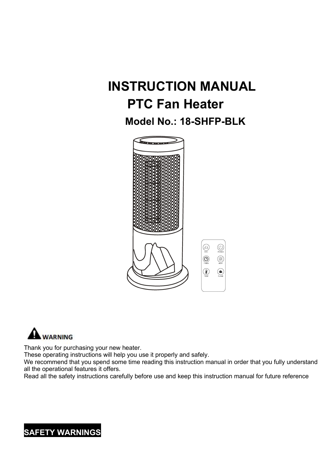# **INSTRUCTION MANUAL PTC Fan Heater**

**Model No.: 18-SHFP-BLK**





Thank you for purchasing your new heater.

These operating instructions will help you use it properly and safely.

We recommend that you spend some time reading this instruction manual in order that you fully understand all the operational features it offers.

Read all the safety instructions carefully before use and keep this instruction manual for future reference

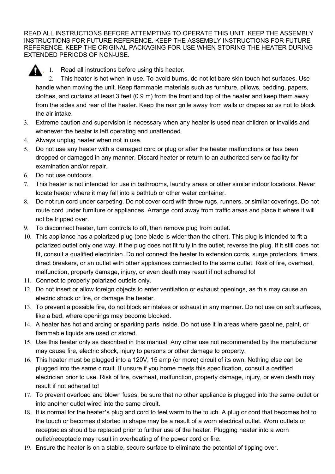READ ALL INSTRUCTIONS BEFORE ATTEMPTING TO OPERATE THIS UNIT. KEEP THE ASSEMBLY INSTRUCTIONS FOR FUTURE REFERENCE. KEEP THE ASSEMBLY INSTRUCTIONS FOR FUTURE REFERENCE. KEEP THE ORIGINAL PACKAGING FOR USE WHEN STORING THE HEATER DURING EXTENDED PERIODS OF NON-USE.



1. Read all instructions before using this heater.

2. This heater is hot when in use. To avoid burns, do not let bare skin touch hot surfaces. Use handle when moving the unit. Keep flammable materials such as furniture, pillows, bedding, papers, clothes, and curtains at least 3 feet (0.9 m) from the front and top of the heater and keep them away from the sides and rear of the heater. Keep the rear grille away from walls or drapes so as not to block the air intake.

- 3. Extreme caution and supervision is necessary when any heateris used near children or invalids and whenever the heater is left operating and unattended.
- 4. Always unplug heater when not in use.
- 5. Do not use any heater with a damaged cord or plug or after the heater malfunctions or has been dropped or damaged in any manner. Discard heater or return to an authorized service facility for examination and/or repair.
- 6. Do not use outdoors.
- 7. This heater is not intended for use in bathrooms, laundry areas or other similar indoor locations. Never locate heater where it may fall into a bathtub or other water container.
- 8. Do not run cord under carpeting. Do not cover cord with throw rugs, runners, or similar coverings. Do not route cord under furniture or appliances. Arrange cord away from traffic areas and place it where it will not be tripped over.
- 9. To disconnect heater, turn controls to off, then remove plug from outlet.
- 10. This appliance has a polarized plug (one blade is wider than the other). This plug is intended to fit a polarized outlet only one way. If the plug does not fit fully in the outlet, reverse the plug. If it still does not fit, consult a qualified electrician. Do not connect the heater to extension cords, surge protectors, timers, direct breakers, or an outlet with other appliances connected to the same outlet. Risk of fire, overheat, malfunction, property damage, injury, or even death may result if not adhered to!
- 11. Connect to properly polarized outlets only.
- 12. Do not insert or allow foreign objects to enter ventilation or exhaust openings, as this may cause an electric shock or fire, or damage the heater.
- 13. To prevent a possible fire, do not block air intakes or exhaust in any manner. Do not use on soft surfaces, like a bed, where openings may become blocked.
- 14. A heater has hot and arcing or sparking parts inside. Do not use it in areas where gasoline, paint, or flammable liquids are used or stored.
- 15. Use this heater only as described in this manual. Any other use not recommended by the manufacturer may cause fire, electric shock, injury to persons or other damage to property.
- 16. This heater must be plugged into a 120V, 15 amp (or more) circuit of its own. Nothing else can be plugged into the same circuit. If unsure if you home meets this specification, consult a certified electrician prior to use. Risk of fire, overheat, malfunction, property damage, injury, or even death may result if not adhered to!
- 17. To prevent overload and blown fuses, be sure that no other appliance is plugged into the same outlet or into another outlet wired into the same circuit.
- 18. It is normal for the heater's plug and cord to feel warm to the touch. A plug or cord that becomes hot to the touch or becomes distorted in shape may be a result of a worn electrical outlet. Worn outlets or receptacles should be replaced prior to further use of the heater. Plugging heater into a worn outlet/receptacle may result in overheating of the power cord or fire.
- 19. Ensure the heater is on a stable, secure surface to eliminate the potential of tipping over.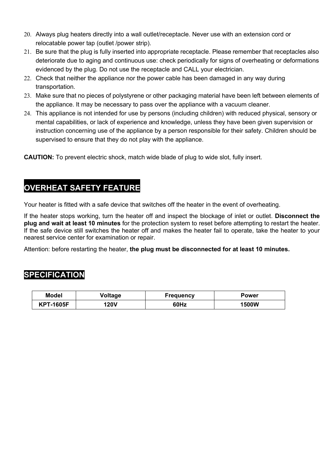- 20. Always plug heaters directly into a wall outlet/receptacle. Never use with an extension cord or relocatable power tap (outlet /power strip).
- 21. Be sure that the plug is fully inserted into appropriate receptacle. Please remember that receptacles also deteriorate due to aging and continuous use: check periodically for signs of overheating or deformations evidenced by the plug. Do not use the receptacle and CALL your electrician.
- 22. Check that neither the appliance nor the power cable has been damaged in any way during transportation.
- 23. Make sure that no pieces of polystyrene or other packaging material have been left between elements of the appliance. It may be necessary to pass over the appliance with a vacuum cleaner.
- 24. This appliance is not intended for use by persons (including children) with reduced physical, sensory or mental capabilities, or lack of experience and knowledge, unless they have been given supervision or instruction concerning use of the appliance by a person responsible for their safety. Children should be supervised to ensure that they do not play with the appliance.

**CAUTION:** To prevent electric shock, match wide blade of plug to wide slot, fully insert.

#### **OVERHEAT SAFETY FEATURE**

Your heater is fitted with a safe device that switches off the heater in the event of overheating.

If the heater stops working, turn the heater off and inspect the blockage of inlet or outlet. **Disconnect the plug and wait at least 10 minutes** for the protection system to reset before attempting to restart the heater. If the safe device still switches the heater off and makes the heater fail to operate, take the heater to your nearest service center for examination or repair.

Attention: before restarting the heater, **the plug must be disconnected for at least10 minutes.**

#### **SPECIFICATION**

| <b>Model</b>     | Voltage | Frequency | Power |
|------------------|---------|-----------|-------|
| <b>KPT-1605F</b> | 20V     | 60Hz      | 1500W |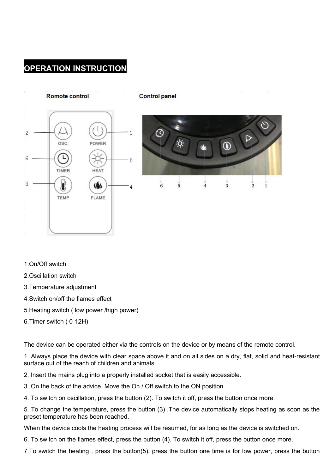#### **OPERATION INSTRUCTION**



- 1.On/Off switch
- 2.Oscillation switch
- 3.Temperature adjustment
- 4.Switch on/off the flames effect
- 5.Heating switch ( low power /high power)
- 6.Timer switch ( 0-12H)

The device can be operated either via the controls on the device or by means of the remote control.

1. Always place the device with clear space above it and on all sides on a dry, flat, solid and heat-resistant surface out of the reach of children and animals.

- 2. Insert the mains plug into a properly installed socket that is easily accessible.
- 3. On the back of the advice, Move the On / Off switch to the ON position.
- 

4. To switch on oscillation, press the button (2). To switch it off, press the button once more.<br>5. To change the temperature, press the button (3) .The device automatically stops heating as soon as the preset temperature has been reached.

When the device cools the heating process will be resumed, for as long as the device is switched on.

6. To switch on the flames effect, press the button (4). To switch it off, press the button once more.

7. To switch the heating, press the button(5), press the button one time is for low power, press the button